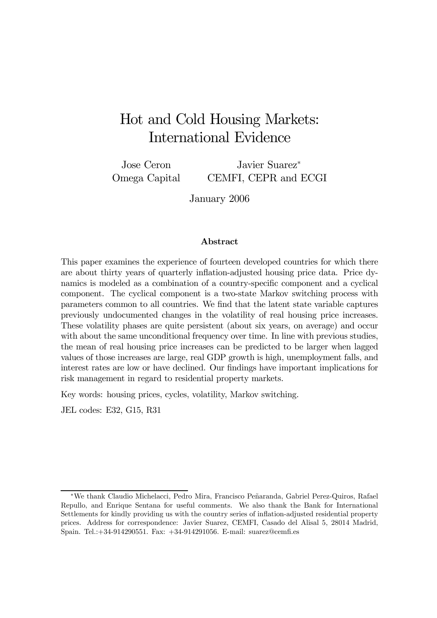# Hot and Cold Housing Markets: International Evidence

Jose Ceron Omega Capital

Javier Suarez<sup>∗</sup> CEMFI, CEPR and ECGI

January 2006

#### Abstract

This paper examines the experience of fourteen developed countries for which there are about thirty years of quarterly inflation-adjusted housing price data. Price dynamics is modeled as a combination of a country-specific component and a cyclical component. The cyclical component is a two-state Markov switching process with parameters common to all countries. We find that the latent state variable captures previously undocumented changes in the volatility of real housing price increases. These volatility phases are quite persistent (about six years, on average) and occur with about the same unconditional frequency over time. In line with previous studies, the mean of real housing price increases can be predicted to be larger when lagged values of those increases are large, real GDP growth is high, unemployment falls, and interest rates are low or have declined. Our findings have important implications for risk management in regard to residential property markets.

Key words: housing prices, cycles, volatility, Markov switching.

JEL codes: E32, G15, R31

<sup>∗</sup>We thank Claudio Michelacci, Pedro Mira, Francisco Peñaranda, Gabriel Perez-Quiros, Rafael Repullo, and Enrique Sentana for useful comments. We also thank the Bank for International Settlements for kindly providing us with the country series of inflation-adjusted residential property prices. Address for correspondence: Javier Suarez, CEMFI, Casado del Alisal 5, 28014 Madrid, Spain. Tel.:+34-914290551. Fax: +34-914291056. E-mail: suarez@cemfi.es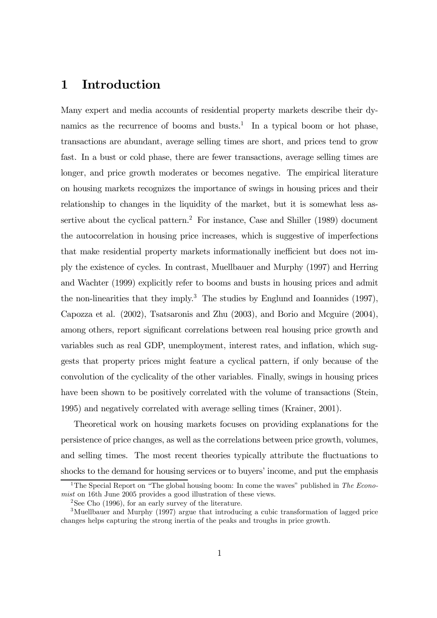### 1 Introduction

Many expert and media accounts of residential property markets describe their dynamics as the recurrence of booms and busts.<sup>1</sup> In a typical boom or hot phase, transactions are abundant, average selling times are short, and prices tend to grow fast. In a bust or cold phase, there are fewer transactions, average selling times are longer, and price growth moderates or becomes negative. The empirical literature on housing markets recognizes the importance of swings in housing prices and their relationship to changes in the liquidity of the market, but it is somewhat less assertive about the cyclical pattern.<sup>2</sup> For instance, Case and Shiller  $(1989)$  document the autocorrelation in housing price increases, which is suggestive of imperfections that make residential property markets informationally inefficient but does not imply the existence of cycles. In contrast, Muellbauer and Murphy (1997) and Herring and Wachter (1999) explicitly refer to booms and busts in housing prices and admit the non-linearities that they imply.<sup>3</sup> The studies by Englund and Ioannides  $(1997)$ , Capozza et al. (2002), Tsatsaronis and Zhu (2003), and Borio and Mcguire (2004), among others, report significant correlations between real housing price growth and variables such as real GDP, unemployment, interest rates, and inflation, which suggests that property prices might feature a cyclical pattern, if only because of the convolution of the cyclicality of the other variables. Finally, swings in housing prices have been shown to be positively correlated with the volume of transactions (Stein, 1995) and negatively correlated with average selling times (Krainer, 2001).

Theoretical work on housing markets focuses on providing explanations for the persistence of price changes, as well as the correlations between price growth, volumes, and selling times. The most recent theories typically attribute the fluctuations to shocks to the demand for housing services or to buyers' income, and put the emphasis

<sup>&</sup>lt;sup>1</sup>The Special Report on "The global housing boom: In come the waves" published in The Economist on 16th June 2005 provides a good illustration of these views.

<sup>2</sup>See Cho (1996), for an early survey of the literature.

<sup>3</sup>Muellbauer and Murphy (1997) argue that introducing a cubic transformation of lagged price changes helps capturing the strong inertia of the peaks and troughs in price growth.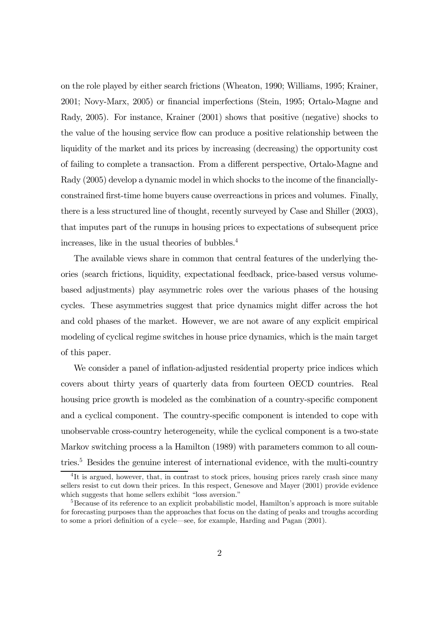on the role played by either search frictions (Wheaton, 1990; Williams, 1995; Krainer, 2001; Novy-Marx, 2005) or financial imperfections (Stein, 1995; Ortalo-Magne and Rady, 2005). For instance, Krainer (2001) shows that positive (negative) shocks to the value of the housing service flow can produce a positive relationship between the liquidity of the market and its prices by increasing (decreasing) the opportunity cost of failing to complete a transaction. From a different perspective, Ortalo-Magne and Rady (2005) develop a dynamic model in which shocks to the income of the financiallyconstrained first-time home buyers cause overreactions in prices and volumes. Finally, there is a less structured line of thought, recently surveyed by Case and Shiller (2003), that imputes part of the runups in housing prices to expectations of subsequent price increases, like in the usual theories of bubbles.4

The available views share in common that central features of the underlying theories (search frictions, liquidity, expectational feedback, price-based versus volumebased adjustments) play asymmetric roles over the various phases of the housing cycles. These asymmetries suggest that price dynamics might differ across the hot and cold phases of the market. However, we are not aware of any explicit empirical modeling of cyclical regime switches in house price dynamics, which is the main target of this paper.

We consider a panel of inflation-adjusted residential property price indices which covers about thirty years of quarterly data from fourteen OECD countries. Real housing price growth is modeled as the combination of a country-specific component and a cyclical component. The country-specific component is intended to cope with unobservable cross-country heterogeneity, while the cyclical component is a two-state Markov switching process a la Hamilton (1989) with parameters common to all countries.<sup>5</sup> Besides the genuine interest of international evidence, with the multi-country

<sup>&</sup>lt;sup>4</sup>It is argued, however, that, in contrast to stock prices, housing prices rarely crash since many sellers resist to cut down their prices. In this respect, Genesove and Mayer (2001) provide evidence which suggests that home sellers exhibit "loss aversion."

<sup>&</sup>lt;sup>5</sup>Because of its reference to an explicit probabilistic model, Hamilton's approach is more suitable for forecasting purposes than the approaches that focus on the dating of peaks and troughs according to some a priori definition of a cycle–see, for example, Harding and Pagan (2001).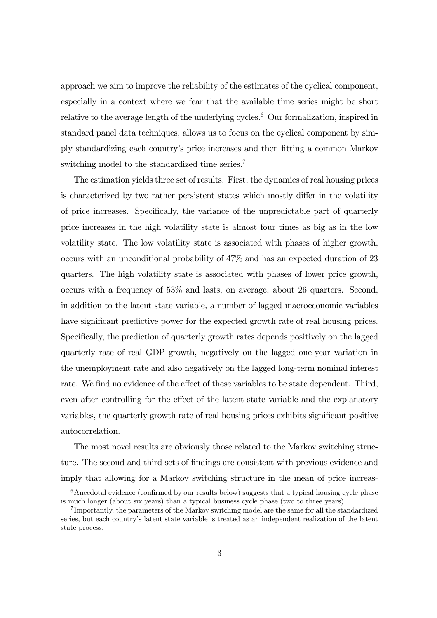approach we aim to improve the reliability of the estimates of the cyclical component, especially in a context where we fear that the available time series might be short relative to the average length of the underlying cycles.<sup>6</sup> Our formalization, inspired in standard panel data techniques, allows us to focus on the cyclical component by simply standardizing each country's price increases and then fitting a common Markov switching model to the standardized time series.<sup>7</sup>

The estimation yields three set of results. First, the dynamics of real housing prices is characterized by two rather persistent states which mostly differ in the volatility of price increases. Specifically, the variance of the unpredictable part of quarterly price increases in the high volatility state is almost four times as big as in the low volatility state. The low volatility state is associated with phases of higher growth, occurs with an unconditional probability of 47% and has an expected duration of 23 quarters. The high volatility state is associated with phases of lower price growth, occurs with a frequency of 53% and lasts, on average, about 26 quarters. Second, in addition to the latent state variable, a number of lagged macroeconomic variables have significant predictive power for the expected growth rate of real housing prices. Specifically, the prediction of quarterly growth rates depends positively on the lagged quarterly rate of real GDP growth, negatively on the lagged one-year variation in the unemployment rate and also negatively on the lagged long-term nominal interest rate. We find no evidence of the effect of these variables to be state dependent. Third, even after controlling for the effect of the latent state variable and the explanatory variables, the quarterly growth rate of real housing prices exhibits significant positive autocorrelation.

The most novel results are obviously those related to the Markov switching structure. The second and third sets of findings are consistent with previous evidence and imply that allowing for a Markov switching structure in the mean of price increas-

 $6$ Anecdotal evidence (confirmed by our results below) suggests that a typical housing cycle phase is much longer (about six years) than a typical business cycle phase (two to three years).

<sup>7</sup> Importantly, the parameters of the Markov switching model are the same for all the standardized series, but each country's latent state variable is treated as an independent realization of the latent state process.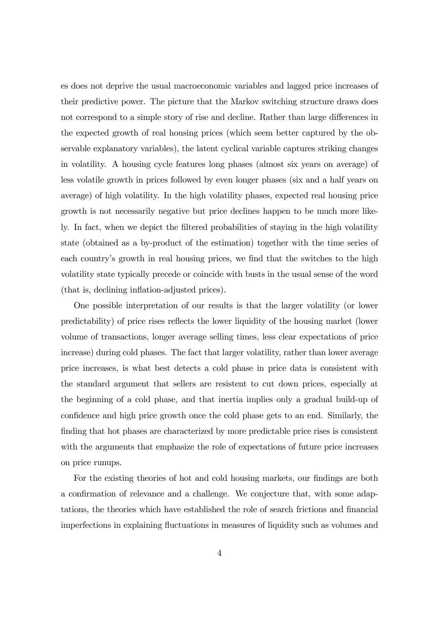es does not deprive the usual macroeconomic variables and lagged price increases of their predictive power. The picture that the Markov switching structure draws does not correspond to a simple story of rise and decline. Rather than large differences in the expected growth of real housing prices (which seem better captured by the observable explanatory variables), the latent cyclical variable captures striking changes in volatility. A housing cycle features long phases (almost six years on average) of less volatile growth in prices followed by even longer phases (six and a half years on average) of high volatility. In the high volatility phases, expected real housing price growth is not necessarily negative but price declines happen to be much more likely. In fact, when we depict the filtered probabilities of staying in the high volatility state (obtained as a by-product of the estimation) together with the time series of each country's growth in real housing prices, we find that the switches to the high volatility state typically precede or coincide with busts in the usual sense of the word (that is, declining inflation-adjusted prices).

One possible interpretation of our results is that the larger volatility (or lower predictability) of price rises reflects the lower liquidity of the housing market (lower volume of transactions, longer average selling times, less clear expectations of price increase) during cold phases. The fact that larger volatility, rather than lower average price increases, is what best detects a cold phase in price data is consistent with the standard argument that sellers are resistent to cut down prices, especially at the beginning of a cold phase, and that inertia implies only a gradual build-up of confidence and high price growth once the cold phase gets to an end. Similarly, the finding that hot phases are characterized by more predictable price rises is consistent with the arguments that emphasize the role of expectations of future price increases on price runups.

For the existing theories of hot and cold housing markets, our findings are both a confirmation of relevance and a challenge. We conjecture that, with some adaptations, the theories which have established the role of search frictions and financial imperfections in explaining fluctuations in measures of liquidity such as volumes and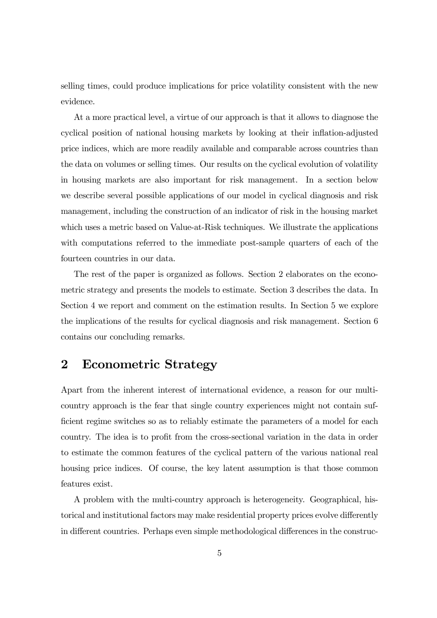selling times, could produce implications for price volatility consistent with the new evidence.

At a more practical level, a virtue of our approach is that it allows to diagnose the cyclical position of national housing markets by looking at their inflation-adjusted price indices, which are more readily available and comparable across countries than the data on volumes or selling times. Our results on the cyclical evolution of volatility in housing markets are also important for risk management. In a section below we describe several possible applications of our model in cyclical diagnosis and risk management, including the construction of an indicator of risk in the housing market which uses a metric based on Value-at-Risk techniques. We illustrate the applications with computations referred to the immediate post-sample quarters of each of the fourteen countries in our data.

The rest of the paper is organized as follows. Section 2 elaborates on the econometric strategy and presents the models to estimate. Section 3 describes the data. In Section 4 we report and comment on the estimation results. In Section 5 we explore the implications of the results for cyclical diagnosis and risk management. Section 6 contains our concluding remarks.

## 2 Econometric Strategy

Apart from the inherent interest of international evidence, a reason for our multicountry approach is the fear that single country experiences might not contain sufficient regime switches so as to reliably estimate the parameters of a model for each country. The idea is to profit from the cross-sectional variation in the data in order to estimate the common features of the cyclical pattern of the various national real housing price indices. Of course, the key latent assumption is that those common features exist.

A problem with the multi-country approach is heterogeneity. Geographical, historical and institutional factors may make residential property prices evolve differently in different countries. Perhaps even simple methodological differences in the construc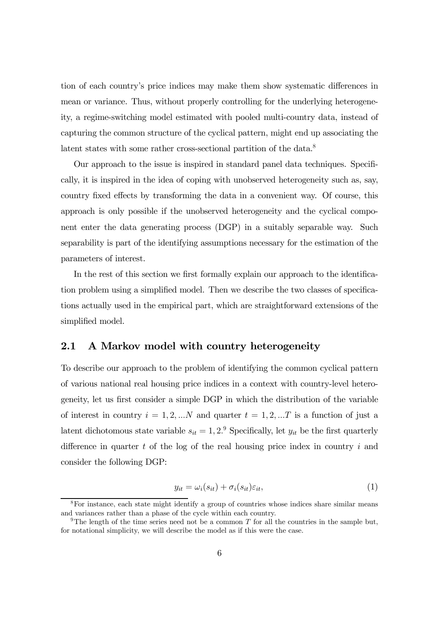tion of each country's price indices may make them show systematic differences in mean or variance. Thus, without properly controlling for the underlying heterogeneity, a regime-switching model estimated with pooled multi-country data, instead of capturing the common structure of the cyclical pattern, might end up associating the latent states with some rather cross-sectional partition of the data.<sup>8</sup>

Our approach to the issue is inspired in standard panel data techniques. Specifically, it is inspired in the idea of coping with unobserved heterogeneity such as, say, country fixed effects by transforming the data in a convenient way. Of course, this approach is only possible if the unobserved heterogeneity and the cyclical component enter the data generating process (DGP) in a suitably separable way. Such separability is part of the identifying assumptions necessary for the estimation of the parameters of interest.

In the rest of this section we first formally explain our approach to the identification problem using a simplified model. Then we describe the two classes of specifications actually used in the empirical part, which are straightforward extensions of the simplified model.

### 2.1 A Markov model with country heterogeneity

To describe our approach to the problem of identifying the common cyclical pattern of various national real housing price indices in a context with country-level heterogeneity, let us first consider a simple DGP in which the distribution of the variable of interest in country  $i = 1, 2, \dots N$  and quarter  $t = 1, 2, \dots T$  is a function of just a latent dichotomous state variable  $s_{it} = 1, 2$ .<sup>9</sup> Specifically, let  $y_{it}$  be the first quarterly difference in quarter t of the log of the real housing price index in country i and consider the following DGP:

$$
y_{it} = \omega_i(s_{it}) + \sigma_i(s_{it})\varepsilon_{it},\tag{1}
$$

<sup>&</sup>lt;sup>8</sup>For instance, each state might identify a group of countries whose indices share similar means and variances rather than a phase of the cycle within each country.

<sup>&</sup>lt;sup>9</sup>The length of the time series need not be a common  $T$  for all the countries in the sample but, for notational simplicity, we will describe the model as if this were the case.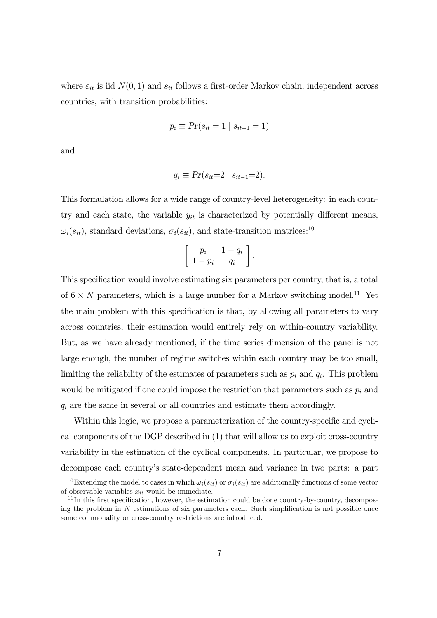where  $\varepsilon_{it}$  is iid  $N(0, 1)$  and  $s_{it}$  follows a first-order Markov chain, independent across countries, with transition probabilities:

$$
p_i \equiv Pr(s_{it} = 1 \mid s_{it-1} = 1)
$$

and

$$
q_i \equiv Pr(s_{it}=2 \mid s_{it-1}=2).
$$

This formulation allows for a wide range of country-level heterogeneity: in each country and each state, the variable  $y_{it}$  is characterized by potentially different means,  $\omega_i(s_{it})$ , standard deviations,  $\sigma_i(s_{it})$ , and state-transition matrices:<sup>10</sup>

$$
\left[\begin{array}{cc}p_i & 1-q_i\\1-p_i & q_i\end{array}\right].
$$

This specification would involve estimating six parameters per country, that is, a total of  $6 \times N$  parameters, which is a large number for a Markov switching model.<sup>11</sup> Yet the main problem with this specification is that, by allowing all parameters to vary across countries, their estimation would entirely rely on within-country variability. But, as we have already mentioned, if the time series dimension of the panel is not large enough, the number of regime switches within each country may be too small, limiting the reliability of the estimates of parameters such as  $p_i$  and  $q_i$ . This problem would be mitigated if one could impose the restriction that parameters such as  $p_i$  and  $q_i$  are the same in several or all countries and estimate them accordingly.

Within this logic, we propose a parameterization of the country-specific and cyclical components of the DGP described in (1) that will allow us to exploit cross-country variability in the estimation of the cyclical components. In particular, we propose to decompose each country's state-dependent mean and variance in two parts: a part

<sup>&</sup>lt;sup>10</sup>Extending the model to cases in which  $\omega_i(s_{it})$  or  $\sigma_i(s_{it})$  are additionally functions of some vector of observable variables  $x_{it}$  would be immediate.

 $11$ In this first specification, however, the estimation could be done country-by-country, decomposing the problem in  $N$  estimations of six parameters each. Such simplification is not possible once some commonality or cross-country restrictions are introduced.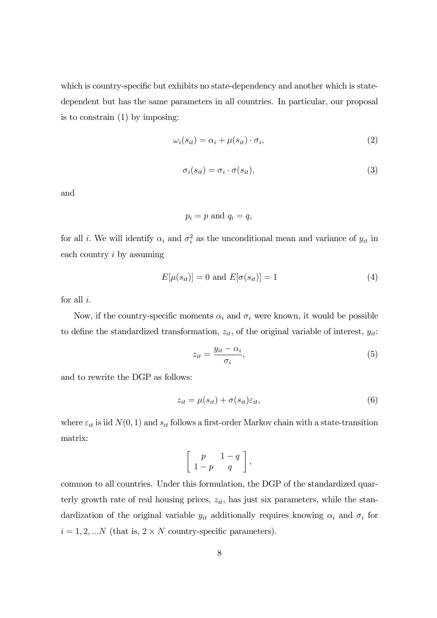which is country-specific but exhibits no state-dependency and another which is statedependent but has the same parameters in all countries. In particular, our proposal is to constrain (1) by imposing:

$$
\omega_i(s_{it}) = \alpha_i + \mu(s_{it}) \cdot \sigma_i,\tag{2}
$$

$$
\sigma_i(s_{it}) = \sigma_i \cdot \sigma(s_{it}), \qquad (3)
$$

and

$$
p_i = p \text{ and } q_i = q,
$$

for all *i*. We will identify  $\alpha_i$  and  $\sigma_i^2$  as the unconditional mean and variance of  $y_{it}$  in each country i by assuming

$$
E[\mu(s_{it})] = 0 \text{ and } E[\sigma(s_{it})] = 1 \tag{4}
$$

for all  $i$ .

Now, if the country-specific moments  $\alpha_i$  and  $\sigma_i$  were known, it would be possible to define the standardized transformation,  $z_{it}$ , of the original variable of interest,  $y_{it}$ :

$$
z_{it} = \frac{y_{it} - \alpha_i}{\sigma_i},\tag{5}
$$

and to rewrite the DGP as follows:

$$
z_{it} = \mu(s_{it}) + \sigma(s_{it})\varepsilon_{it},\tag{6}
$$

where  $\varepsilon_{it}$  is iid  $N(0, 1)$  and  $s_{it}$  follows a first-order Markov chain with a state-transition matrix:

$$
\left[\begin{array}{cc}p&1-q\\1-p&q\end{array}\right],
$$

common to all countries. Under this formulation, the DGP of the standardized quarterly growth rate of real housing prices,  $z_{it}$ , has just six parameters, while the standardization of the original variable  $y_{it}$  additionally requires knowing  $\alpha_i$  and  $\sigma_i$  for  $i = 1, 2, \dots N$  (that is,  $2 \times N$  country-specific parameters).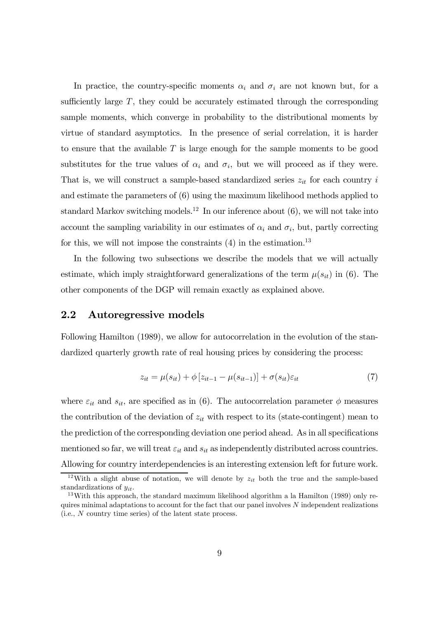In practice, the country-specific moments  $\alpha_i$  and  $\sigma_i$  are not known but, for a sufficiently large  $T$ , they could be accurately estimated through the corresponding sample moments, which converge in probability to the distributional moments by virtue of standard asymptotics. In the presence of serial correlation, it is harder to ensure that the available  $T$  is large enough for the sample moments to be good substitutes for the true values of  $\alpha_i$  and  $\sigma_i$ , but we will proceed as if they were. That is, we will construct a sample-based standardized series  $z_{it}$  for each country i and estimate the parameters of (6) using the maximum likelihood methods applied to standard Markov switching models.<sup>12</sup> In our inference about  $(6)$ , we will not take into account the sampling variability in our estimates of  $\alpha_i$  and  $\sigma_i$ , but, partly correcting for this, we will not impose the constraints  $(4)$  in the estimation.<sup>13</sup>

In the following two subsections we describe the models that we will actually estimate, which imply straightforward generalizations of the term  $\mu(s_{it})$  in (6). The other components of the DGP will remain exactly as explained above.

### 2.2 Autoregressive models

Following Hamilton (1989), we allow for autocorrelation in the evolution of the standardized quarterly growth rate of real housing prices by considering the process:

$$
z_{it} = \mu(s_{it}) + \phi \left[ z_{it-1} - \mu(s_{it-1}) \right] + \sigma(s_{it}) \varepsilon_{it}
$$
\n<sup>(7)</sup>

where  $\varepsilon_{it}$  and  $s_{it}$ , are specified as in (6). The autocorrelation parameter  $\phi$  measures the contribution of the deviation of  $z_{it}$  with respect to its (state-contingent) mean to the prediction of the corresponding deviation one period ahead. As in all specifications mentioned so far, we will treat  $\varepsilon_{it}$  and  $s_{it}$  as independently distributed across countries. Allowing for country interdependencies is an interesting extension left for future work.

<sup>&</sup>lt;sup>12</sup>With a slight abuse of notation, we will denote by  $z_{it}$  both the true and the sample-based standardizations of  $y_{it}$ .

<sup>&</sup>lt;sup>13</sup>With this approach, the standard maximum likelihood algorithm a la Hamilton (1989) only requires minimal adaptations to account for the fact that our panel involves N independent realizations (i.e., N country time series) of the latent state process.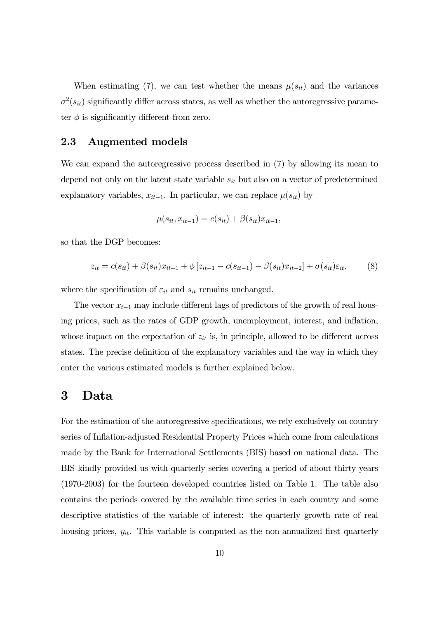When estimating (7), we can test whether the means  $\mu(s_{it})$  and the variances  $\sigma^2(s_{it})$  significantly differ across states, as well as whether the autoregressive parameter  $\phi$  is significantly different from zero.

### 2.3 Augmented models

We can expand the autoregressive process described in (7) by allowing its mean to depend not only on the latent state variable  $s_{it}$  but also on a vector of predetermined explanatory variables,  $x_{it-1}$ . In particular, we can replace  $\mu(s_{it})$  by

$$
\mu(s_{it}, x_{it-1}) = c(s_{it}) + \beta(s_{it})x_{it-1},
$$

so that the DGP becomes:

$$
z_{it} = c(s_{it}) + \beta(s_{it})x_{it-1} + \phi[z_{it-1} - c(s_{it-1}) - \beta(s_{it})x_{it-2}] + \sigma(s_{it})\varepsilon_{it},
$$
 (8)

where the specification of  $\varepsilon_{it}$  and  $s_{it}$  remains unchanged.

The vector  $x_{t-1}$  may include different lags of predictors of the growth of real housing prices, such as the rates of GDP growth, unemployment, interest, and inflation, whose impact on the expectation of  $z_{it}$  is, in principle, allowed to be different across states. The precise definition of the explanatory variables and the way in which they enter the various estimated models is further explained below.

### 3 Data

For the estimation of the autoregressive specifications, we rely exclusively on country series of Inflation-adjusted Residential Property Prices which come from calculations made by the Bank for International Settlements (BIS) based on national data. The BIS kindly provided us with quarterly series covering a period of about thirty years (1970-2003) for the fourteen developed countries listed on Table 1. The table also contains the periods covered by the available time series in each country and some descriptive statistics of the variable of interest: the quarterly growth rate of real housing prices,  $y_{it}$ . This variable is computed as the non-annualized first quarterly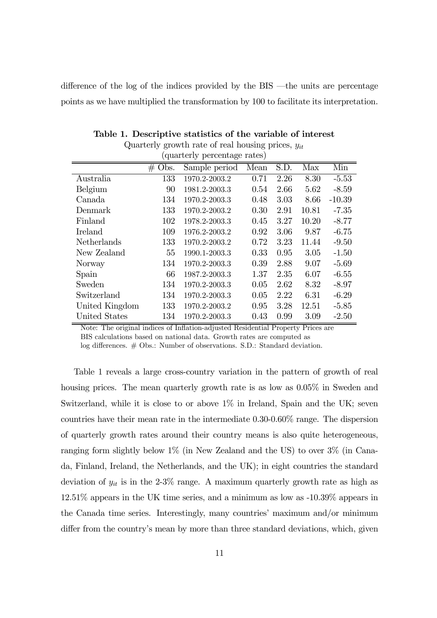difference of the log of the indices provided by the BIS —the units are percentage points as we have multiplied the transformation by 100 to facilitate its interpretation.

|                |           | (quarterly percentage rates) |      |      |       |          |  |  |  |
|----------------|-----------|------------------------------|------|------|-------|----------|--|--|--|
|                | Obs.<br># | Sample period                | Mean | S.D. | Max   | Min      |  |  |  |
| Australia      | 133       | 1970.2-2003.2                | 0.71 | 2.26 | 8.30  | $-5.53$  |  |  |  |
| Belgium        | 90        | 1981.2-2003.3                | 0.54 | 2.66 | 5.62  | $-8.59$  |  |  |  |
| Canada         | 134       | 1970.2-2003.3                | 0.48 | 3.03 | 8.66  | $-10.39$ |  |  |  |
| Denmark        | 133       | 1970.2-2003.2                | 0.30 | 2.91 | 10.81 | $-7.35$  |  |  |  |
| Finland        | 102       | 1978.2-2003.3                | 0.45 | 3.27 | 10.20 | $-8.77$  |  |  |  |
| Ireland        | 109       | 1976.2-2003.2                | 0.92 | 3.06 | 9.87  | $-6.75$  |  |  |  |
| Netherlands    | 133       | 1970.2-2003.2                | 0.72 | 3.23 | 11.44 | $-9.50$  |  |  |  |
| New Zealand    | 55        | 1990.1-2003.3                | 0.33 | 0.95 | 3.05  | $-1.50$  |  |  |  |
| Norway         | 134       | 1970.2-2003.3                | 0.39 | 2.88 | 9.07  | $-5.69$  |  |  |  |
| Spain          | 66        | 1987.2-2003.3                | 1.37 | 2.35 | 6.07  | $-6.55$  |  |  |  |
| Sweden         | 134       | 1970.2-2003.3                | 0.05 | 2.62 | 8.32  | $-8.97$  |  |  |  |
| Switzerland    | 134       | 1970.2-2003.3                | 0.05 | 2.22 | 6.31  | $-6.29$  |  |  |  |
| United Kingdom | 133       | 1970.2-2003.2                | 0.95 | 3.28 | 12.51 | $-5.85$  |  |  |  |
| United States  | 134       | 1970.2-2003.3                | 0.43 | 0.99 | 3.09  | $-2.50$  |  |  |  |

Table 1. Descriptive statistics of the variable of interest Quarterly growth rate of real housing prices,  $y_{it}$ 

Note: The original indices of Inflation-adjusted Residential Property Prices are BIS calculations based on national data. Growth rates are computed as

log differences. # Obs.: Number of observations. S.D.: Standard deviation.

Table 1 reveals a large cross-country variation in the pattern of growth of real housing prices. The mean quarterly growth rate is as low as  $0.05\%$  in Sweden and Switzerland, while it is close to or above 1% in Ireland, Spain and the UK; seven countries have their mean rate in the intermediate 0.30-0.60% range. The dispersion of quarterly growth rates around their country means is also quite heterogeneous, ranging form slightly below 1% (in New Zealand and the US) to over 3% (in Canada, Finland, Ireland, the Netherlands, and the UK); in eight countries the standard deviation of  $y_{it}$  is in the 2-3% range. A maximum quarterly growth rate as high as 12.51% appears in the UK time series, and a minimum as low as -10.39% appears in the Canada time series. Interestingly, many countries' maximum and/or minimum differ from the country's mean by more than three standard deviations, which, given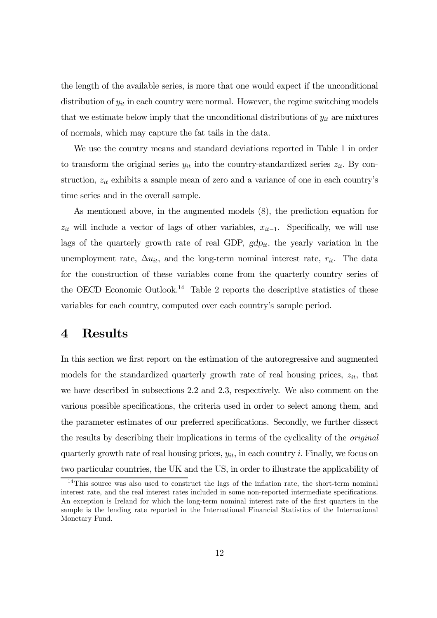the length of the available series, is more that one would expect if the unconditional distribution of  $y_{it}$  in each country were normal. However, the regime switching models that we estimate below imply that the unconditional distributions of  $y_{it}$  are mixtures of normals, which may capture the fat tails in the data.

We use the country means and standard deviations reported in Table 1 in order to transform the original series  $y_{it}$  into the country-standardized series  $z_{it}$ . By construction,  $z_{it}$  exhibits a sample mean of zero and a variance of one in each country's time series and in the overall sample.

As mentioned above, in the augmented models (8), the prediction equation for  $z_{it}$  will include a vector of lags of other variables,  $x_{it-1}$ . Specifically, we will use lags of the quarterly growth rate of real GDP,  $gdp_{it}$ , the yearly variation in the unemployment rate,  $\Delta u_{it}$ , and the long-term nominal interest rate,  $r_{it}$ . The data for the construction of these variables come from the quarterly country series of the OECD Economic Outlook.<sup>14</sup> Table 2 reports the descriptive statistics of these variables for each country, computed over each country's sample period.

## 4 Results

In this section we first report on the estimation of the autoregressive and augmented models for the standardized quarterly growth rate of real housing prices,  $z_{it}$ , that we have described in subsections 2.2 and 2.3, respectively. We also comment on the various possible specifications, the criteria used in order to select among them, and the parameter estimates of our preferred specifications. Secondly, we further dissect the results by describing their implications in terms of the cyclicality of the original quarterly growth rate of real housing prices,  $y_{it}$ , in each country i. Finally, we focus on two particular countries, the UK and the US, in order to illustrate the applicability of

<sup>&</sup>lt;sup>14</sup>This source was also used to construct the lags of the inflation rate, the short-term nominal interest rate, and the real interest rates included in some non-reported intermediate specifications. An exception is Ireland for which the long-term nominal interest rate of the first quarters in the sample is the lending rate reported in the International Financial Statistics of the International Monetary Fund.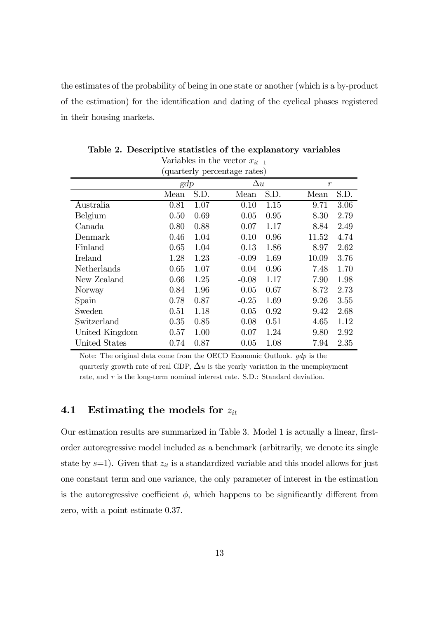the estimates of the probability of being in one state or another (which is a by-product of the estimation) for the identification and dating of the cyclical phases registered in their housing markets.

|                              | Variables in the vector $x_{it-1}$ |      |         |            |       |                  |  |  |  |
|------------------------------|------------------------------------|------|---------|------------|-------|------------------|--|--|--|
| (quarterly percentage rates) |                                    |      |         |            |       |                  |  |  |  |
|                              | gdp                                |      |         | $\Delta u$ |       | $\boldsymbol{r}$ |  |  |  |
|                              | Mean                               | S.D. | Mean    | S.D.       | Mean  | S.D.             |  |  |  |
| Australia                    | 0.81                               | 1.07 | 0.10    | 1.15       | 9.71  | 3.06             |  |  |  |
| Belgium                      | 0.50                               | 0.69 | 0.05    | 0.95       | 8.30  | 2.79             |  |  |  |
| Canada                       | 0.80                               | 0.88 | 0.07    | 1.17       | 8.84  | 2.49             |  |  |  |
| Denmark                      | 0.46                               | 1.04 | 0.10    | 0.96       | 11.52 | 4.74             |  |  |  |
| Finland                      | 0.65                               | 1.04 | 0.13    | 1.86       | 8.97  | 2.62             |  |  |  |
| Ireland                      | 1.28                               | 1.23 | $-0.09$ | 1.69       | 10.09 | 3.76             |  |  |  |
| Netherlands                  | 0.65                               | 1.07 | 0.04    | 0.96       | 7.48  | 1.70             |  |  |  |
| New Zealand                  | 0.66                               | 1.25 | $-0.08$ | 1.17       | 7.90  | 1.98             |  |  |  |
| Norway                       | 0.84                               | 1.96 | 0.05    | 0.67       | 8.72  | 2.73             |  |  |  |
| Spain                        | 0.78                               | 0.87 | $-0.25$ | 1.69       | 9.26  | 3.55             |  |  |  |
| Sweden                       | 0.51                               | 1.18 | 0.05    | 0.92       | 9.42  | 2.68             |  |  |  |
| Switzerland                  | 0.35                               | 0.85 | 0.08    | 0.51       | 4.65  | 1.12             |  |  |  |
| United Kingdom               | 0.57                               | 1.00 | 0.07    | 1.24       | 9.80  | 2.92             |  |  |  |
| United States                | 0.74                               | 0.87 | 0.05    | 1.08       | 7.94  | 2.35             |  |  |  |

Table 2. Descriptive statistics of the explanatory variables

Note: The original data come from the OECD Economic Outlook. gdp is the quarterly growth rate of real GDP,  $\Delta u$  is the yearly variation in the unemployment rate, and r is the long-term nominal interest rate. S.D.: Standard deviation.

### 4.1 Estimating the models for  $z_{it}$

Our estimation results are summarized in Table 3. Model 1 is actually a linear, firstorder autoregressive model included as a benchmark (arbitrarily, we denote its single state by  $s=1$ ). Given that  $z_{it}$  is a standardized variable and this model allows for just one constant term and one variance, the only parameter of interest in the estimation is the autoregressive coefficient  $\phi$ , which happens to be significantly different from zero, with a point estimate 0.37.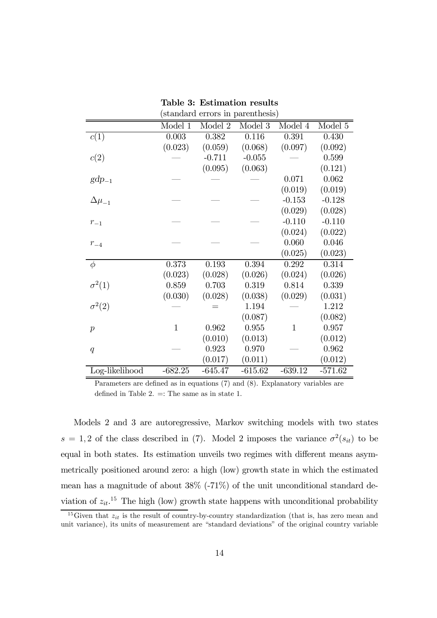|                  | standard errors in parentnesis) |           |                    |           |           |  |  |  |
|------------------|---------------------------------|-----------|--------------------|-----------|-----------|--|--|--|
|                  | Model 1                         | Model 2   | Model 3            | Model 4   | Model 5   |  |  |  |
| c(1)             | 0.003                           | 0.382     | 0.116              | 0.391     | 0.430     |  |  |  |
|                  | (0.023)                         | (0.059)   | (0.068)            | (0.097)   | (0.092)   |  |  |  |
| c(2)             |                                 | $-0.711$  | $-0.055$           |           | 0.599     |  |  |  |
|                  |                                 | (0.095)   | (0.063)            |           | (0.121)   |  |  |  |
| $gdp_{-1}$       |                                 |           |                    | 0.071     | 0.062     |  |  |  |
|                  |                                 |           |                    | (0.019)   | (0.019)   |  |  |  |
| $\Delta\mu_{-1}$ |                                 |           |                    | $-0.153$  | $-0.128$  |  |  |  |
|                  |                                 |           |                    | (0.029)   | (0.028)   |  |  |  |
| $r_{-1}$         |                                 |           |                    | $-0.110$  | $-0.110$  |  |  |  |
|                  |                                 |           |                    | (0.024)   | (0.022)   |  |  |  |
| $r_{-4}$         |                                 |           |                    | 0.060     | 0.046     |  |  |  |
|                  |                                 |           |                    | (0.025)   | (0.023)   |  |  |  |
| $\phi$           | 0.373                           | 0.193     | $\overline{0.394}$ | 0.292     | 0.314     |  |  |  |
|                  | (0.023)                         | (0.028)   | (0.026)            | (0.024)   | (0.026)   |  |  |  |
| $\sigma^2(1)$    | 0.859                           | 0.703     | 0.319              | 0.814     | 0.339     |  |  |  |
|                  | (0.030)                         | (0.028)   | (0.038)            | (0.029)   | (0.031)   |  |  |  |
| $\sigma^2(2)$    |                                 |           | 1.194              |           | 1.212     |  |  |  |
|                  |                                 |           | (0.087)            |           | (0.082)   |  |  |  |
| $\boldsymbol{p}$ | $\mathbf{1}$                    | 0.962     | 0.955              | 1         | 0.957     |  |  |  |
|                  |                                 | (0.010)   | (0.013)            |           | (0.012)   |  |  |  |
| q                |                                 | 0.923     | 0.970              |           | 0.962     |  |  |  |
|                  |                                 | (0.017)   | (0.011)            |           | (0.012)   |  |  |  |
| Log-likelihood   | $-682.25$                       | $-645.47$ | $-615.62$          | $-639.12$ | $-571.62$ |  |  |  |

#### Table 3: Estimation results (standard errors in parenthesis)

Parameters are defined as in equations (7) and (8). Explanatory variables are defined in Table 2.  $=$ : The same as in state 1.

Models 2 and 3 are autoregressive, Markov switching models with two states  $s = 1, 2$  of the class described in (7). Model 2 imposes the variance  $\sigma^2(s_{it})$  to be equal in both states. Its estimation unveils two regimes with different means asymmetrically positioned around zero: a high (low) growth state in which the estimated mean has a magnitude of about 38% (-71%) of the unit unconditional standard deviation of  $z_{it}$ <sup>15</sup> The high (low) growth state happens with unconditional probability

<sup>&</sup>lt;sup>15</sup>Given that  $z_{it}$  is the result of country-by-country standardization (that is, has zero mean and unit variance), its units of measurement are "standard deviations" of the original country variable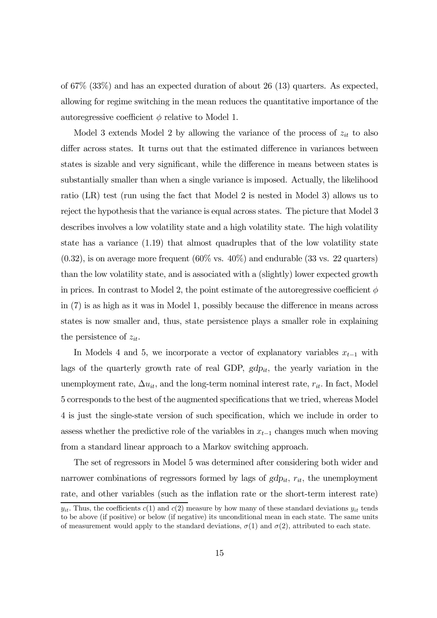of 67% (33%) and has an expected duration of about 26 (13) quarters. As expected, allowing for regime switching in the mean reduces the quantitative importance of the autoregressive coefficient  $\phi$  relative to Model 1.

Model 3 extends Model 2 by allowing the variance of the process of  $z_{it}$  to also differ across states. It turns out that the estimated difference in variances between states is sizable and very significant, while the difference in means between states is substantially smaller than when a single variance is imposed. Actually, the likelihood ratio (LR) test (run using the fact that Model 2 is nested in Model 3) allows us to reject the hypothesis that the variance is equal across states. The picture that Model 3 describes involves a low volatility state and a high volatility state. The high volatility state has a variance (1.19) that almost quadruples that of the low volatility state  $(0.32)$ , is on average more frequent  $(60\% \text{ vs. } 40\%)$  and endurable (33 vs. 22 quarters) than the low volatility state, and is associated with a (slightly) lower expected growth in prices. In contrast to Model 2, the point estimate of the autoregressive coefficient  $\phi$ in (7) is as high as it was in Model 1, possibly because the difference in means across states is now smaller and, thus, state persistence plays a smaller role in explaining the persistence of  $z_{it}$ .

In Models 4 and 5, we incorporate a vector of explanatory variables  $x_{t-1}$  with lags of the quarterly growth rate of real GDP,  $gdp_{it}$ , the yearly variation in the unemployment rate,  $\Delta u_{it}$ , and the long-term nominal interest rate,  $r_{it}$ . In fact, Model 5 corresponds to the best of the augmented specifications that we tried, whereas Model 4 is just the single-state version of such specification, which we include in order to assess whether the predictive role of the variables in  $x_{t-1}$  changes much when moving from a standard linear approach to a Markov switching approach.

The set of regressors in Model 5 was determined after considering both wider and narrower combinations of regressors formed by lags of  $gdp_{it}$ ,  $r_{it}$ , the unemployment rate, and other variables (such as the inflation rate or the short-term interest rate)

 $y_{it}$ . Thus, the coefficients  $c(1)$  and  $c(2)$  measure by how many of these standard deviations  $y_{it}$  tends to be above (if positive) or below (if negative) its unconditional mean in each state. The same units of measurement would apply to the standard deviations,  $\sigma(1)$  and  $\sigma(2)$ , attributed to each state.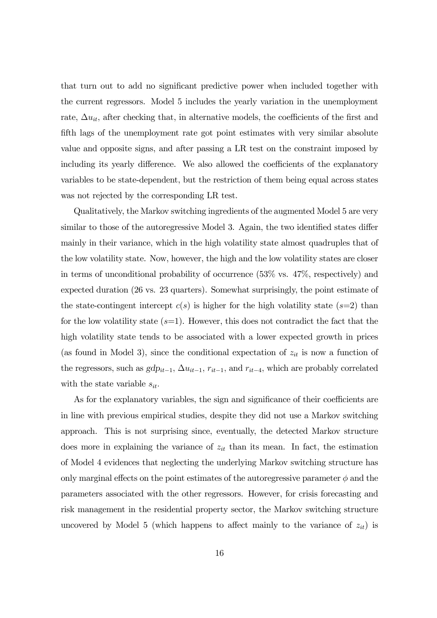that turn out to add no significant predictive power when included together with the current regressors. Model 5 includes the yearly variation in the unemployment rate,  $\Delta u_{it}$ , after checking that, in alternative models, the coefficients of the first and fifth lags of the unemployment rate got point estimates with very similar absolute value and opposite signs, and after passing a LR test on the constraint imposed by including its yearly difference. We also allowed the coefficients of the explanatory variables to be state-dependent, but the restriction of them being equal across states was not rejected by the corresponding LR test.

Qualitatively, the Markov switching ingredients of the augmented Model 5 are very similar to those of the autoregressive Model 3. Again, the two identified states differ mainly in their variance, which in the high volatility state almost quadruples that of the low volatility state. Now, however, the high and the low volatility states are closer in terms of unconditional probability of occurrence (53% vs. 47%, respectively) and expected duration (26 vs. 23 quarters). Somewhat surprisingly, the point estimate of the state-contingent intercept  $c(s)$  is higher for the high volatility state  $(s=2)$  than for the low volatility state  $(s=1)$ . However, this does not contradict the fact that the high volatility state tends to be associated with a lower expected growth in prices (as found in Model 3), since the conditional expectation of  $z_{it}$  is now a function of the regressors, such as  $gdp_{it-1}$ ,  $\Delta u_{it-1}$ ,  $r_{it-1}$ , and  $r_{it-4}$ , which are probably correlated with the state variable  $s_{it}$ .

As for the explanatory variables, the sign and significance of their coefficients are in line with previous empirical studies, despite they did not use a Markov switching approach. This is not surprising since, eventually, the detected Markov structure does more in explaining the variance of  $z_{it}$  than its mean. In fact, the estimation of Model 4 evidences that neglecting the underlying Markov switching structure has only marginal effects on the point estimates of the autoregressive parameter  $\phi$  and the parameters associated with the other regressors. However, for crisis forecasting and risk management in the residential property sector, the Markov switching structure uncovered by Model 5 (which happens to affect mainly to the variance of  $z_{it}$ ) is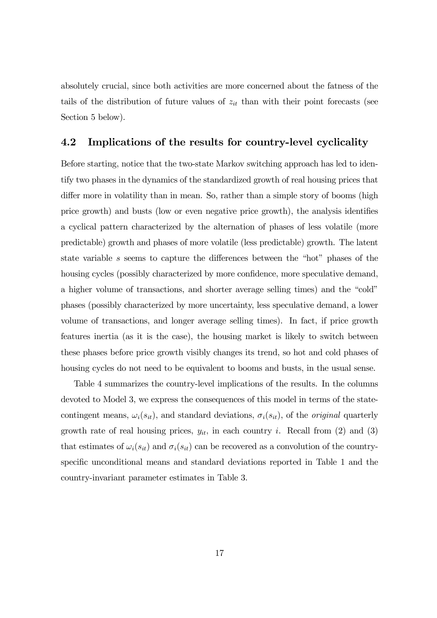absolutely crucial, since both activities are more concerned about the fatness of the tails of the distribution of future values of  $z_{it}$  than with their point forecasts (see Section 5 below).

### 4.2 Implications of the results for country-level cyclicality

Before starting, notice that the two-state Markov switching approach has led to identify two phases in the dynamics of the standardized growth of real housing prices that differ more in volatility than in mean. So, rather than a simple story of booms (high price growth) and busts (low or even negative price growth), the analysis identifies a cyclical pattern characterized by the alternation of phases of less volatile (more predictable) growth and phases of more volatile (less predictable) growth. The latent state variable s seems to capture the differences between the "hot" phases of the housing cycles (possibly characterized by more confidence, more speculative demand, a higher volume of transactions, and shorter average selling times) and the "cold" phases (possibly characterized by more uncertainty, less speculative demand, a lower volume of transactions, and longer average selling times). In fact, if price growth features inertia (as it is the case), the housing market is likely to switch between these phases before price growth visibly changes its trend, so hot and cold phases of housing cycles do not need to be equivalent to booms and busts, in the usual sense.

Table 4 summarizes the country-level implications of the results. In the columns devoted to Model 3, we express the consequences of this model in terms of the statecontingent means,  $\omega_i(s_{it})$ , and standard deviations,  $\sigma_i(s_{it})$ , of the *original* quarterly growth rate of real housing prices,  $y_{it}$ , in each country i. Recall from (2) and (3) that estimates of  $\omega_i(s_{it})$  and  $\sigma_i(s_{it})$  can be recovered as a convolution of the countryspecific unconditional means and standard deviations reported in Table 1 and the country-invariant parameter estimates in Table 3.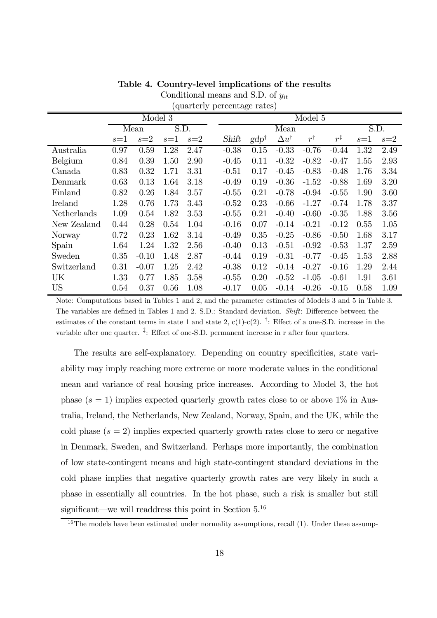|             | Model 3 |         |       | Model 5 |  |         |                 |                      |               |                |       |       |
|-------------|---------|---------|-------|---------|--|---------|-----------------|----------------------|---------------|----------------|-------|-------|
|             |         | Mean    | S.D.  |         |  |         |                 | Mean                 |               |                | S.D.  |       |
|             | $s=1$   | $s=2$   | $s=1$ | $s=2$   |  | Shift   | $gdp^{\dagger}$ | $\Delta u^{\dagger}$ | $r^{\dagger}$ | $r^{\ddagger}$ | $s=1$ | $s=2$ |
| Australia   | 0.97    | 0.59    | 1.28  | 2.47    |  | $-0.38$ | 0.15            | $-0.33$              | $-0.76$       | $-0.44$        | 1.32  | 2.49  |
| Belgium     | 0.84    | 0.39    | 1.50  | 2.90    |  | $-0.45$ | 0.11            | $-0.32$              | $-0.82$       | $-0.47$        | 1.55  | 2.93  |
| Canada      | 0.83    | 0.32    | 1.71  | 3.31    |  | $-0.51$ | 0.17            | $-0.45$              | $-0.83$       | $-0.48$        | 1.76  | 3.34  |
| Denmark     | 0.63    | 0.13    | 1.64  | 3.18    |  | $-0.49$ | 0.19            | $-0.36$              | $-1.52$       | $-0.88$        | 1.69  | 3.20  |
| Finland     | 0.82    | 0.26    | 1.84  | 3.57    |  | $-0.55$ | 0.21            | $-0.78$              | $-0.94$       | $-0.55$        | 1.90  | 3.60  |
| Ireland     | 1.28    | 0.76    | 1.73  | 3.43    |  | $-0.52$ | 0.23            | $-0.66$              | $-1.27$       | $-0.74$        | 1.78  | 3.37  |
| Netherlands | 1.09    | 0.54    | 1.82  | 3.53    |  | $-0.55$ | 0.21            | $-0.40$              | $-0.60$       | $-0.35$        | 1.88  | 3.56  |
| New Zealand | 0.44    | 0.28    | 0.54  | 1.04    |  | $-0.16$ | 0.07            | $-0.14$              | $-0.21$       | $-0.12$        | 0.55  | 1.05  |
| Norway      | 0.72    | 0.23    | 1.62  | 3.14    |  | $-0.49$ | 0.35            | $-0.25$              | $-0.86$       | $-0.50$        | 1.68  | 3.17  |
| Spain       | 1.64    | 1.24    | 1.32  | 2.56    |  | $-0.40$ | 0.13            | $-0.51$              | $-0.92$       | $-0.53$        | 1.37  | 2.59  |
| Sweden      | 0.35    | $-0.10$ | 1.48  | 2.87    |  | $-0.44$ | 0.19            | $-0.31$              | $-0.77$       | $-0.45$        | 1.53  | 2.88  |
| Switzerland | 0.31    | $-0.07$ | 1.25  | 2.42    |  | $-0.38$ | 0.12            | $-0.14$              | $-0.27$       | $-0.16$        | 1.29  | 2.44  |
| UK          | 1.33    | 0.77    | 1.85  | 3.58    |  | $-0.55$ | 0.20            | $-0.52$              | $-1.05$       | $-0.61$        | 1.91  | 3.61  |
| <b>US</b>   | 0.54    | 0.37    | 0.56  | 1.08    |  | $-0.17$ | 0.05            | $-0.14$              | $-0.26$       | $-0.15$        | 0.58  | 1.09  |

Table 4. Country-level implications of the results

Conditional means and S.D. of  $y_{it}$ (quarterly percentage rates)

Note: Computations based in Tables 1 and 2, and the parameter estimates of Models 3 and 5 in Table 3. The variables are defined in Tables 1 and 2. S.D.: Standard deviation. Shift: Difference between the estimates of the constant terms in state 1 and state 2,  $c(1)-c(2)$ . <sup>T</sup>: Effect of a one-S.D. increase in the variable after one quarter. ‡ : Effect of one-S.D. permanent increase in r after four quarters.

The results are self-explanatory. Depending on country specificities, state variability may imply reaching more extreme or more moderate values in the conditional mean and variance of real housing price increases. According to Model 3, the hot phase  $(s = 1)$  implies expected quarterly growth rates close to or above 1\% in Australia, Ireland, the Netherlands, New Zealand, Norway, Spain, and the UK, while the cold phase  $(s = 2)$  implies expected quarterly growth rates close to zero or negative in Denmark, Sweden, and Switzerland. Perhaps more importantly, the combination of low state-contingent means and high state-contingent standard deviations in the cold phase implies that negative quarterly growth rates are very likely in such a phase in essentially all countries. In the hot phase, such a risk is smaller but still significant—we will readdress this point in Section  $5^{16}$ 

<sup>&</sup>lt;sup>16</sup>The models have been estimated under normality assumptions, recall  $(1)$ . Under these assump-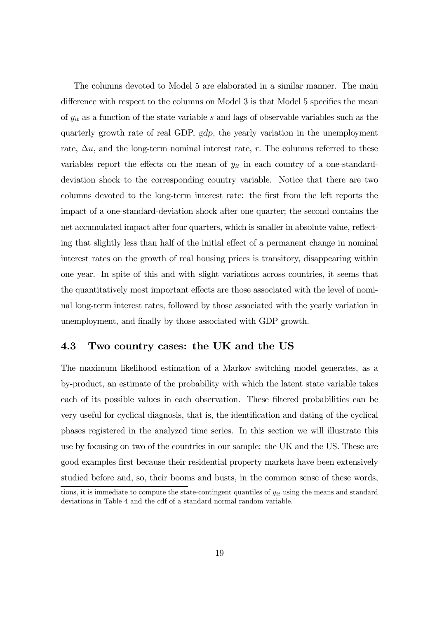The columns devoted to Model 5 are elaborated in a similar manner. The main difference with respect to the columns on Model 3 is that Model 5 specifies the mean of  $y_{it}$  as a function of the state variable s and lags of observable variables such as the quarterly growth rate of real GDP, gdp, the yearly variation in the unemployment rate,  $\Delta u$ , and the long-term nominal interest rate, r. The columns referred to these variables report the effects on the mean of  $y_{it}$  in each country of a one-standarddeviation shock to the corresponding country variable. Notice that there are two columns devoted to the long-term interest rate: the first from the left reports the impact of a one-standard-deviation shock after one quarter; the second contains the net accumulated impact after four quarters, which is smaller in absolute value, reflecting that slightly less than half of the initial effect of a permanent change in nominal interest rates on the growth of real housing prices is transitory, disappearing within one year. In spite of this and with slight variations across countries, it seems that the quantitatively most important effects are those associated with the level of nominal long-term interest rates, followed by those associated with the yearly variation in unemployment, and finally by those associated with GDP growth.

### 4.3 Two country cases: the UK and the US

The maximum likelihood estimation of a Markov switching model generates, as a by-product, an estimate of the probability with which the latent state variable takes each of its possible values in each observation. These filtered probabilities can be very useful for cyclical diagnosis, that is, the identification and dating of the cyclical phases registered in the analyzed time series. In this section we will illustrate this use by focusing on two of the countries in our sample: the UK and the US. These are good examples first because their residential property markets have been extensively studied before and, so, their booms and busts, in the common sense of these words,

tions, it is immediate to compute the state-contingent quantiles of  $y_{it}$  using the means and standard deviations in Table 4 and the cdf of a standard normal random variable.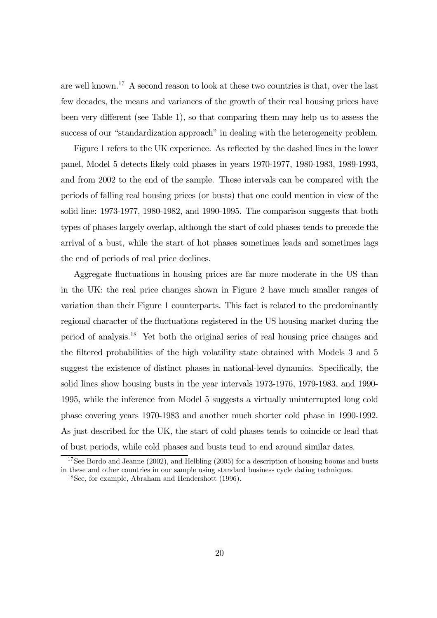are well known.17 A second reason to look at these two countries is that, over the last few decades, the means and variances of the growth of their real housing prices have been very different (see Table 1), so that comparing them may help us to assess the success of our "standardization approach" in dealing with the heterogeneity problem.

Figure 1 refers to the UK experience. As reflected by the dashed lines in the lower panel, Model 5 detects likely cold phases in years 1970-1977, 1980-1983, 1989-1993, and from 2002 to the end of the sample. These intervals can be compared with the periods of falling real housing prices (or busts) that one could mention in view of the solid line: 1973-1977, 1980-1982, and 1990-1995. The comparison suggests that both types of phases largely overlap, although the start of cold phases tends to precede the arrival of a bust, while the start of hot phases sometimes leads and sometimes lags the end of periods of real price declines.

Aggregate fluctuations in housing prices are far more moderate in the US than in the UK: the real price changes shown in Figure 2 have much smaller ranges of variation than their Figure 1 counterparts. This fact is related to the predominantly regional character of the fluctuations registered in the US housing market during the period of analysis.18 Yet both the original series of real housing price changes and the filtered probabilities of the high volatility state obtained with Models 3 and 5 suggest the existence of distinct phases in national-level dynamics. Specifically, the solid lines show housing busts in the year intervals 1973-1976, 1979-1983, and 1990- 1995, while the inference from Model 5 suggests a virtually uninterrupted long cold phase covering years 1970-1983 and another much shorter cold phase in 1990-1992. As just described for the UK, the start of cold phases tends to coincide or lead that of bust periods, while cold phases and busts tend to end around similar dates.

 $17$ See Bordo and Jeanne (2002), and Helbling (2005) for a description of housing booms and busts in these and other countries in our sample using standard business cycle dating techniques.

<sup>18</sup>See, for example, Abraham and Hendershott (1996).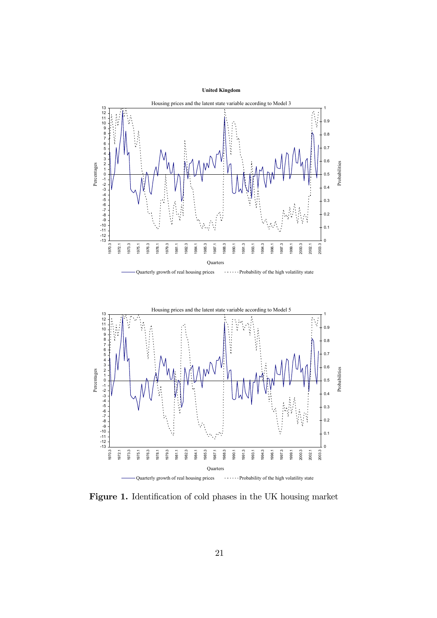

Figure 1. Identification of cold phases in the UK housing market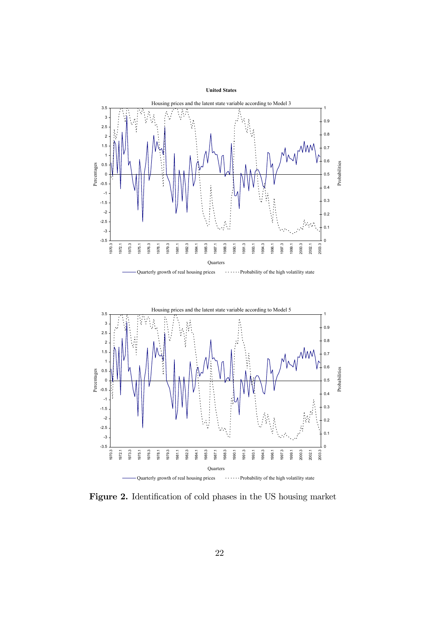



Figure 2. Identification of cold phases in the US housing market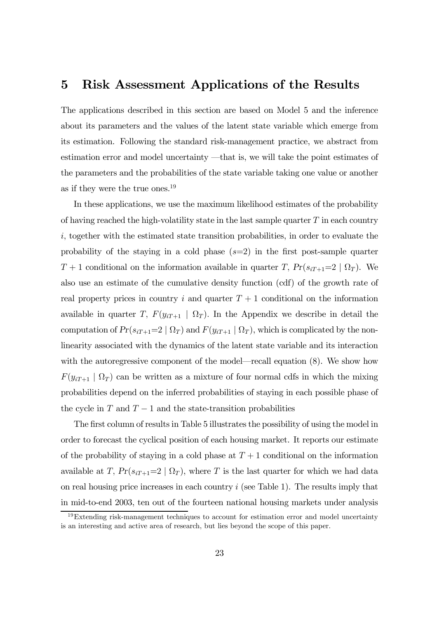## 5 Risk Assessment Applications of the Results

The applications described in this section are based on Model 5 and the inference about its parameters and the values of the latent state variable which emerge from its estimation. Following the standard risk-management practice, we abstract from estimation error and model uncertainty –that is, we will take the point estimates of the parameters and the probabilities of the state variable taking one value or another as if they were the true ones.19

In these applications, we use the maximum likelihood estimates of the probability of having reached the high-volatility state in the last sample quarter  $T$  in each country i, together with the estimated state transition probabilities, in order to evaluate the probability of the staying in a cold phase  $(s=2)$  in the first post-sample quarter  $T+1$  conditional on the information available in quarter T,  $Pr(s_{iT+1}=2 | \Omega_T)$ . We also use an estimate of the cumulative density function (cdf) of the growth rate of real property prices in country i and quarter  $T + 1$  conditional on the information available in quarter T,  $F(y_{iT+1} | \Omega_T)$ . In the Appendix we describe in detail the computation of  $Pr(s_{iT+1}=2 | \Omega_T)$  and  $F(y_{iT+1} | \Omega_T)$ , which is complicated by the nonlinearity associated with the dynamics of the latent state variable and its interaction with the autoregressive component of the model–recall equation (8). We show how  $F(y_{iT+1} | \Omega_T)$  can be written as a mixture of four normal cdfs in which the mixing probabilities depend on the inferred probabilities of staying in each possible phase of the cycle in  $T$  and  $T-1$  and the state-transition probabilities

The first column of results in Table 5 illustrates the possibility of using the model in order to forecast the cyclical position of each housing market. It reports our estimate of the probability of staying in a cold phase at  $T+1$  conditional on the information available at T,  $Pr(s_{iT+1}=2 | \Omega_T)$ , where T is the last quarter for which we had data on real housing price increases in each country  $i$  (see Table 1). The results imply that in mid-to-end 2003, ten out of the fourteen national housing markets under analysis

 $19$ Extending risk-management techniques to account for estimation error and model uncertainty is an interesting and active area of research, but lies beyond the scope of this paper.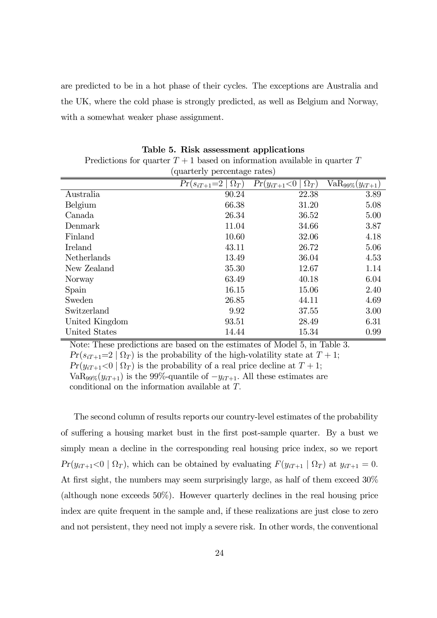are predicted to be in a hot phase of their cycles. The exceptions are Australia and the UK, where the cold phase is strongly predicted, as well as Belgium and Norway, with a somewhat weaker phase assignment.

| quarterly percentage rates) |                                  |                                    |                        |  |  |  |  |
|-----------------------------|----------------------------------|------------------------------------|------------------------|--|--|--|--|
|                             | $Pr(s_{iT+1}=2)$<br>$\Omega_T$ ) | $Pr(y_{iT+1} < 0)$<br>$\Omega_T$ ) | $VaR_{99\%}(y_{iT+1})$ |  |  |  |  |
| Australia                   | 90.24                            | 22.38                              | 3.89                   |  |  |  |  |
| Belgium                     | 66.38                            | 31.20                              | 5.08                   |  |  |  |  |
| Canada                      | 26.34                            | 36.52                              | 5.00                   |  |  |  |  |
| Denmark                     | 11.04                            | 34.66                              | 3.87                   |  |  |  |  |
| Finland                     | 10.60                            | 32.06                              | 4.18                   |  |  |  |  |
| Ireland                     | 43.11                            | 26.72                              | 5.06                   |  |  |  |  |
| Netherlands                 | 13.49                            | 36.04                              | 4.53                   |  |  |  |  |
| New Zealand                 | 35.30                            | 12.67                              | 1.14                   |  |  |  |  |
| Norway                      | 63.49                            | 40.18                              | 6.04                   |  |  |  |  |
| Spain                       | 16.15                            | 15.06                              | 2.40                   |  |  |  |  |
| Sweden                      | 26.85                            | 44.11                              | 4.69                   |  |  |  |  |
| Switzerland                 | 9.92                             | 37.55                              | 3.00                   |  |  |  |  |
| United Kingdom              | 93.51                            | 28.49                              | 6.31                   |  |  |  |  |
| United States               | 14.44                            | 15.34                              | 0.99                   |  |  |  |  |

Table 5. Risk assessment applications Predictions for quarter  $T + 1$  based on information available in quarter T

Note: These predictions are based on the estimates of Model 5, in Table 3.  $Pr(s_{iT+1}=2 | \Omega_T)$  is the probability of the high-volatility state at  $T+1$ ;  $Pr(y_{iT+1} < 0 | \Omega_T)$  is the probability of a real price decline at  $T + 1$ ; VaR<sub>99%</sub> $(y_{iT+1})$  is the 99%-quantile of  $-y_{iT+1}$ . All these estimates are conditional on the information available at T.

The second column of results reports our country-level estimates of the probability of suffering a housing market bust in the first post-sample quarter. By a bust we simply mean a decline in the corresponding real housing price index, so we report  $Pr(y_{iT+1} < 0 | \Omega_T)$ , which can be obtained by evaluating  $F(y_{iT+1} | \Omega_T)$  at  $y_{iT+1} = 0$ . At first sight, the numbers may seem surprisingly large, as half of them exceed 30% (although none exceeds 50%). However quarterly declines in the real housing price index are quite frequent in the sample and, if these realizations are just close to zero and not persistent, they need not imply a severe risk. In other words, the conventional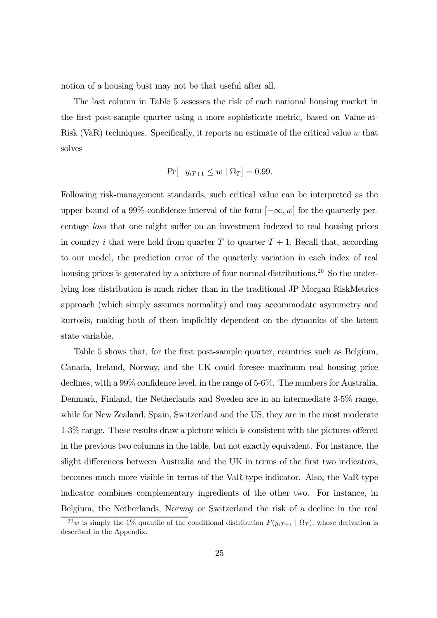notion of a housing bust may not be that useful after all.

The last column in Table 5 assesses the risk of each national housing market in the first post-sample quarter using a more sophisticate metric, based on Value-at-Risk (VaR) techniques. Specifically, it reports an estimate of the critical value  $w$  that solves

$$
Pr[-y_{iT+1} \le w \mid \Omega_T] = 0.99.
$$

Following risk-management standards, such critical value can be interpreted as the upper bound of a 99%-confidence interval of the form  $[-\infty, w]$  for the quarterly percentage loss that one might suffer on an investment indexed to real housing prices in country i that were hold from quarter T to quarter  $T + 1$ . Recall that, according to our model, the prediction error of the quarterly variation in each index of real housing prices is generated by a mixture of four normal distributions.<sup>20</sup> So the underlying loss distribution is much richer than in the traditional JP Morgan RiskMetrics approach (which simply assumes normality) and may accommodate asymmetry and kurtosis, making both of them implicitly dependent on the dynamics of the latent state variable.

Table 5 shows that, for the first post-sample quarter, countries such as Belgium, Canada, Ireland, Norway, and the UK could foresee maximum real housing price declines, with a 99% confidence level, in the range of 5-6%. The numbers for Australia, Denmark, Finland, the Netherlands and Sweden are in an intermediate 3-5% range, while for New Zealand, Spain, Switzerland and the US, they are in the most moderate 1-3% range. These results draw a picture which is consistent with the pictures offered in the previous two columns in the table, but not exactly equivalent. For instance, the slight differences between Australia and the UK in terms of the first two indicators, becomes much more visible in terms of the VaR-type indicator. Also, the VaR-type indicator combines complementary ingredients of the other two. For instance, in Belgium, the Netherlands, Norway or Switzerland the risk of a decline in the real

<sup>&</sup>lt;sup>20</sup>w is simply the 1% quantile of the conditional distribution  $F(y_{iT+1} | \Omega_T)$ , whose derivation is described in the Appendix.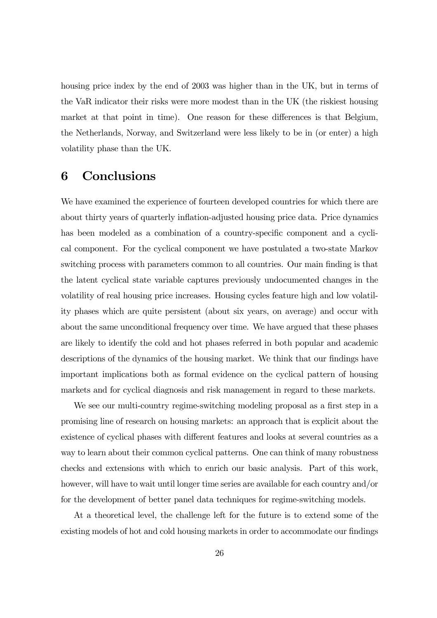housing price index by the end of 2003 was higher than in the UK, but in terms of the VaR indicator their risks were more modest than in the UK (the riskiest housing market at that point in time). One reason for these differences is that Belgium, the Netherlands, Norway, and Switzerland were less likely to be in (or enter) a high volatility phase than the UK.

## 6 Conclusions

We have examined the experience of fourteen developed countries for which there are about thirty years of quarterly inflation-adjusted housing price data. Price dynamics has been modeled as a combination of a country-specific component and a cyclical component. For the cyclical component we have postulated a two-state Markov switching process with parameters common to all countries. Our main finding is that the latent cyclical state variable captures previously undocumented changes in the volatility of real housing price increases. Housing cycles feature high and low volatility phases which are quite persistent (about six years, on average) and occur with about the same unconditional frequency over time. We have argued that these phases are likely to identify the cold and hot phases referred in both popular and academic descriptions of the dynamics of the housing market. We think that our findings have important implications both as formal evidence on the cyclical pattern of housing markets and for cyclical diagnosis and risk management in regard to these markets.

We see our multi-country regime-switching modeling proposal as a first step in a promising line of research on housing markets: an approach that is explicit about the existence of cyclical phases with different features and looks at several countries as a way to learn about their common cyclical patterns. One can think of many robustness checks and extensions with which to enrich our basic analysis. Part of this work, however, will have to wait until longer time series are available for each country and/or for the development of better panel data techniques for regime-switching models.

At a theoretical level, the challenge left for the future is to extend some of the existing models of hot and cold housing markets in order to accommodate our findings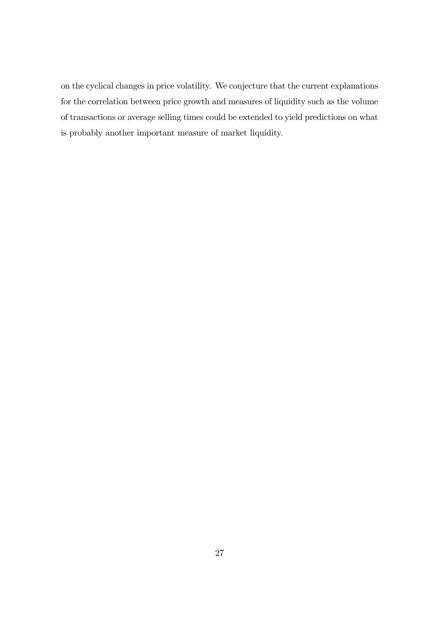on the cyclical changes in price volatility. We conjecture that the current explanations for the correlation between price growth and measures of liquidity such as the volume of transactions or average selling times could be extended to yield predictions on what is probably another important measure of market liquidity.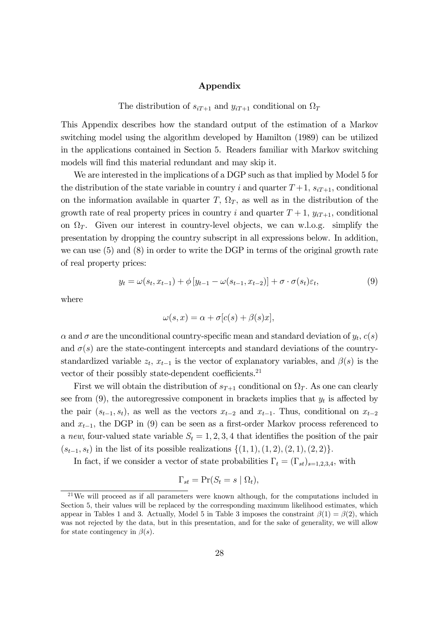### Appendix

The distribution of  $s_{iT+1}$  and  $y_{iT+1}$  conditional on  $\Omega_T$ 

This Appendix describes how the standard output of the estimation of a Markov switching model using the algorithm developed by Hamilton (1989) can be utilized in the applications contained in Section 5. Readers familiar with Markov switching models will find this material redundant and may skip it.

We are interested in the implications of a DGP such as that implied by Model 5 for the distribution of the state variable in country i and quarter  $T+1$ ,  $s_{iT+1}$ , conditional on the information available in quarter T,  $\Omega_T$ , as well as in the distribution of the growth rate of real property prices in country i and quarter  $T+1$ ,  $y_{iT+1}$ , conditional on  $\Omega_T$ . Given our interest in country-level objects, we can w.l.o.g. simplify the presentation by dropping the country subscript in all expressions below. In addition, we can use (5) and (8) in order to write the DGP in terms of the original growth rate of real property prices:

$$
y_t = \omega(s_t, x_{t-1}) + \phi \left[ y_{t-1} - \omega(s_{t-1}, x_{t-2}) \right] + \sigma \cdot \sigma(s_t) \varepsilon_t,
$$
\n(9)

where

$$
\omega(s, x) = \alpha + \sigma[c(s) + \beta(s)x],
$$

 $\alpha$  and  $\sigma$  are the unconditional country-specific mean and standard deviation of  $y_t$ ,  $c(s)$ and  $\sigma(s)$  are the state-contingent intercepts and standard deviations of the countrystandardized variable  $z_t$ ,  $x_{t-1}$  is the vector of explanatory variables, and  $\beta(s)$  is the vector of their possibly state-dependent coefficients.<sup>21</sup>

First we will obtain the distribution of  $s_{T+1}$  conditional on  $\Omega_T$ . As one can clearly see from  $(9)$ , the autoregressive component in brackets implies that  $y_t$  is affected by the pair  $(s_{t-1}, s_t)$ , as well as the vectors  $x_{t-2}$  and  $x_{t-1}$ . Thus, conditional on  $x_{t-2}$ and  $x_{t-1}$ , the DGP in (9) can be seen as a first-order Markov process referenced to a new, four-valued state variable  $S_t = 1, 2, 3, 4$  that identifies the position of the pair  $(s_{t-1}, s_t)$  in the list of its possible realizations  $\{(1, 1), (1, 2), (2, 1), (2, 2)\}.$ 

In fact, if we consider a vector of state probabilities  $\Gamma_t = (\Gamma_{st})_{s=1,2,3,4}$ , with

$$
\Gamma_{st} = \Pr(S_t = s \mid \Omega_t),
$$

 $21$ We will proceed as if all parameters were known although, for the computations included in Section 5, their values will be replaced by the corresponding maximum likelihood estimates, which appear in Tables 1 and 3. Actually, Model 5 in Table 3 imposes the constraint  $\beta(1) = \beta(2)$ , which was not rejected by the data, but in this presentation, and for the sake of generality, we will allow for state contingency in  $\beta(s)$ .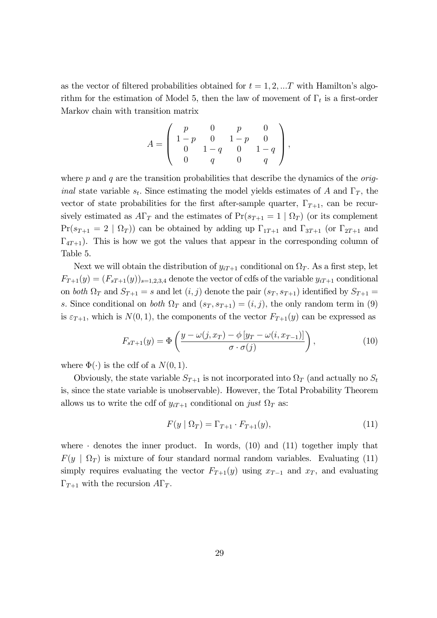as the vector of filtered probabilities obtained for  $t = 1, 2, \dots T$  with Hamilton's algorithm for the estimation of Model 5, then the law of movement of  $\Gamma_t$  is a first-order Markov chain with transition matrix

$$
A = \left(\begin{array}{cccc} p & 0 & p & 0 \\ 1-p & 0 & 1-p & 0 \\ 0 & 1-q & 0 & 1-q \\ 0 & q & 0 & q \end{array}\right),
$$

where  $p$  and  $q$  are the transition probabilities that describe the dynamics of the *original* state variable  $s_t$ . Since estimating the model yields estimates of A and  $\Gamma_T$ , the vector of state probabilities for the first after-sample quarter,  $\Gamma_{T+1}$ , can be recursively estimated as  $A\Gamma_T$  and the estimates of  $\Pr(s_{T+1} = 1 \mid \Omega_T)$  (or its complement  $Pr(s_{T+1} = 2 | \Omega_T)$  can be obtained by adding up  $\Gamma_{1T+1}$  and  $\Gamma_{3T+1}$  (or  $\Gamma_{2T+1}$  and  $\Gamma_{4T+1}$ ). This is how we got the values that appear in the corresponding column of Table 5.

Next we will obtain the distribution of  $y_{iT+1}$  conditional on  $\Omega_T$ . As a first step, let  $F_{T+1}(y)=(F_{sT+1}(y))_{s=1,2,3,4}$  denote the vector of cdfs of the variable  $y_{iT+1}$  conditional on both  $\Omega_T$  and  $S_{T+1} = s$  and let  $(i, j)$  denote the pair  $(s_T, s_{T+1})$  identified by  $S_{T+1} = s$ s. Since conditional on both  $\Omega_T$  and  $(s_T, s_{T+1})=(i, j)$ , the only random term in (9) is  $\varepsilon_{T+1}$ , which is  $N(0, 1)$ , the components of the vector  $F_{T+1}(y)$  can be expressed as

$$
F_{sT+1}(y) = \Phi\left(\frac{y - \omega(j, x_T) - \phi[y_T - \omega(i, x_{T-1})]}{\sigma \cdot \sigma(j)}\right),\tag{10}
$$

where  $\Phi(\cdot)$  is the cdf of a  $N(0, 1)$ .

Obviously, the state variable  $S_{T+1}$  is not incorporated into  $\Omega_T$  (and actually no  $S_t$ is, since the state variable is unobservable). However, the Total Probability Theorem allows us to write the cdf of  $y_{iT+1}$  conditional on just  $\Omega_T$  as:

$$
F(y \mid \Omega_T) = \Gamma_{T+1} \cdot F_{T+1}(y),\tag{11}
$$

where  $\cdot$  denotes the inner product. In words, (10) and (11) together imply that  $F(y | \Omega_T)$  is mixture of four standard normal random variables. Evaluating (11) simply requires evaluating the vector  $F_{T+1}(y)$  using  $x_{T-1}$  and  $x_T$ , and evaluating  $\Gamma_{T+1}$  with the recursion  $A\Gamma_T$ .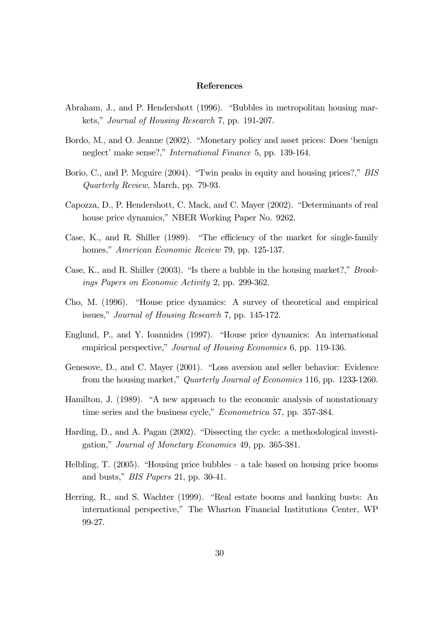#### References

- Abraham, J., and P. Hendershott (1996). "Bubbles in metropolitan housing markets," Journal of Housing Research 7, pp. 191-207.
- Bordo, M., and O. Jeanne (2002). "Monetary policy and asset prices: Does 'benign neglect' make sense?," International Finance 5, pp. 139-164.
- Borio, C., and P. Mcguire (2004). "Twin peaks in equity and housing prices?," BIS Quarterly Review, March, pp. 79-93.
- Capozza, D., P. Hendershott, C. Mack, and C. Mayer (2002). "Determinants of real house price dynamics," NBER Working Paper No. 9262.
- Case, K., and R. Shiller (1989). "The efficiency of the market for single-family homes," *American Economic Review* 79, pp. 125-137.
- Case, K., and R. Shiller (2003). "Is there a bubble in the housing market?," Brookings Papers on Economic Activity 2, pp. 299-362.
- Cho, M. (1996). "House price dynamics: A survey of theoretical and empirical issues," Journal of Housing Research 7, pp. 145-172.
- Englund, P., and Y. Ioannides (1997). "House price dynamics: An international empirical perspective," Journal of Housing Economics 6, pp. 119-136.
- Genesove, D., and C. Mayer (2001). "Loss aversion and seller behavior: Evidence from the housing market," Quarterly Journal of Economics 116, pp. 1233-1260.
- Hamilton, J. (1989). "A new approach to the economic analysis of nonstationary time series and the business cycle," *Econometrica* 57, pp. 357-384.
- Harding, D., and A. Pagan (2002). "Dissecting the cycle: a methodological investigation," Journal of Monetary Economics 49, pp. 365-381.
- Helbling, T.  $(2005)$ . "Housing price bubbles a tale based on housing price booms and busts," BIS Papers 21, pp. 30-41.
- Herring, R., and S. Wachter (1999). "Real estate booms and banking busts: An international perspective," The Wharton Financial Institutions Center, WP 99-27.